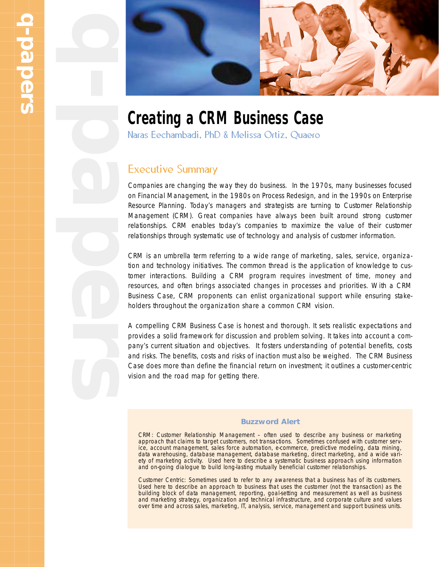

## **Creating a CRM Business Case**

Naras Eechambadi, PhD & Melissa Ortiz, Quaero

## Executive Summary

Companies are changing the way they do business. In the 1970s, many businesses focused on Financial Management, in the 1980s on Process Redesign, and in the 1990s on Enterprise Resource Planning. Today's managers and strategists are turning to Customer Relationship Management (CRM). Great companies have always been built around strong customer relationships. CRM enables today's companies to maximize the value of their customer relationships through systematic use of technology and analysis of customer information.

CRM is an umbrella term referring to a wide range of marketing, sales, service, organization and technology initiatives. The common thread is the application of knowledge to customer interactions. Building a CRM program requires investment of time, money and resources, and often brings associated changes in processes and priorities. With a CRM Business Case, CRM proponents can enlist organizational support while ensuring stakeholders throughout the organization share a common CRM vision.

A compelling CRM Business Case is honest and thorough. It sets realistic expectations and provides a solid framework for discussion and problem solving. It takes into account a company's current situation and objectives. It fosters understanding of potential benefits, costs and risks. The benefits, costs and risks of inaction must also be weighed. The CRM Business Case does more than define the financial return on investment; it outlines a customer-centric vision and the road map for getting there.

#### **Buzzword Alert**

*CRM:* Customer Relationship Management – often used to describe any business or marketing approach that claims to target customers, not transactions. Sometimes confused with customer service, account management, sales force automation, e-commerce, predictive modeling, data mining, data warehousing, database management, database marketing, direct marketing, and a wide variety of marketing activity. Used here to describe a systematic business approach using information and on-going dialogue to build long-lasting mutually beneficial customer relationships.

*Customer Centric:* Sometimes used to refer to any awareness that a business has of its customers. Used here to describe an approach to business that uses the customer (not the transaction) as the building block of data management, reporting, goal-setting and measurement as well as business and marketing strategy, organization and technical infrastructure, and corporate culture and values over time and across sales, marketing, IT, analysis, service, management and support business units.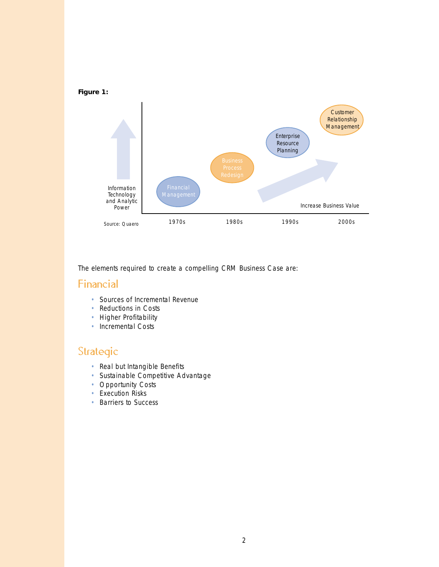

The elements required to create a compelling CRM Business Case are:

## Financial

- Sources of Incremental Revenue
- Reductions in Costs
- Higher Profitability
- Incremental Costs

## Strategic

- Real but Intangible Benefits
- Sustainable Competitive Advantage
- Opportunity Costs
- Execution Risks
- Barriers to Success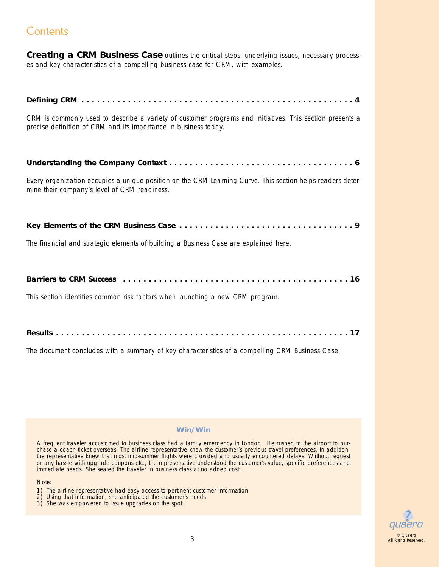## **Contents**

*Creating a CRM Business Case outlines the critical steps, underlying issues, necessary processes and key characteristics of a compelling business case for CRM, with examples.*

| CRM is commonly used to describe a variety of customer programs and initiatives. This section presents a<br>precise definition of CRM and its importance in business today. |
|-----------------------------------------------------------------------------------------------------------------------------------------------------------------------------|
|                                                                                                                                                                             |
| Every organization occupies a unique position on the CRM Learning Curve. This section helps readers deter-<br>mine their company's level of CRM readiness.                  |
|                                                                                                                                                                             |
| The financial and strategic elements of building a Business Case are explained here.                                                                                        |
|                                                                                                                                                                             |
| This section identifies common risk factors when launching a new CRM program.                                                                                               |
|                                                                                                                                                                             |

The document concludes with a summary of key characteristics of a compelling CRM Business Case.

#### **Win/Win**

A frequent traveler accustomed to business class had a family emergency in London. He rushed to the airport to purchase a coach ticket overseas. The airline representative knew the customer's previous travel preferences. In addition, the representative knew that most mid-summer flights were crowded and usually encountered delays. Without request or any hassle with upgrade coupons etc., the representative understood the customer's value, specific preferences and immediate needs. She seated the traveler in business class at no added cost.

#### Note:

- 1) The airline representative had easy access to pertinent customer information
- 2) Using that information, she anticipated the customer's needs
- 3) She was empowered to issue upgrades on the spot

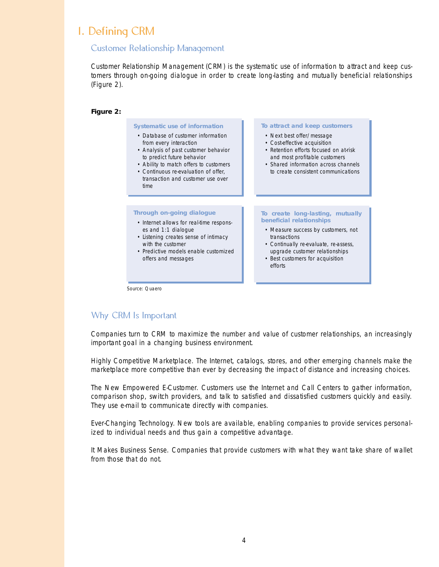## 1. Defining CRM

#### Customer Relationship Management

Customer Relationship Management (CRM) is the systematic use of information to attract and keep customers through on-going dialogue in order to create long-lasting and mutually beneficial relationships (Figure 2).



### Why CRM Is Important

Companies turn to CRM to maximize the number and value of customer relationships, an increasingly important goal in a changing business environment.

*Highly Competitive Marketplace.* The Internet, catalogs, stores, and other emerging channels make the marketplace more competitive than ever by decreasing the impact of distance and increasing choices.

*The New Empowered E-Customer.* Customers use the Internet and Call Centers to gather information, comparison shop, switch providers, and talk to satisfied and dissatisfied customers quickly and easily. They use e-mail to communicate directly with companies.

*Ever-Changing Technology.* New tools are available, enabling companies to provide services personalized to individual needs and thus gain a competitive advantage.

*It Makes Business Sense.* Companies that provide customers with what they want take share of wallet from those that do not.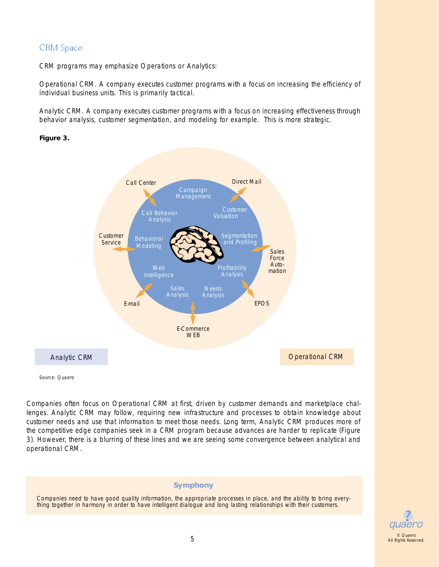## CRM Space

CRM programs may emphasize Operations or Analytics:

*Operational CRM.* A company executes customer programs with a focus on increasing the efficiency of individual business units. This is primarily tactical.

*Analytic CRM.* A company executes customer programs with a focus on increasing effectiveness through behavior analysis, customer segmentation, and modeling for example. This is more strategic.

#### **Figure 3.**



Source: Quaero

Companies often focus on Operational CRM at first, driven by customer demands and marketplace challenges. Analytic CRM may follow, requiring new infrastructure and processes to obtain knowledge about customer needs and use that information to meet those needs. Long term, Analytic CRM produces more of the competitive edge companies seek in a CRM program because advances are harder to replicate (Figure 3). However, there is a blurring of these lines and we are seeing some convergence between analytical and operational CRM.

#### **Symphony**

Companies need to have good quality information, the appropriate processes in place, and the ability to bring everything together in harmony in order to have intelligent dialogue and long lasting relationships with their customers.

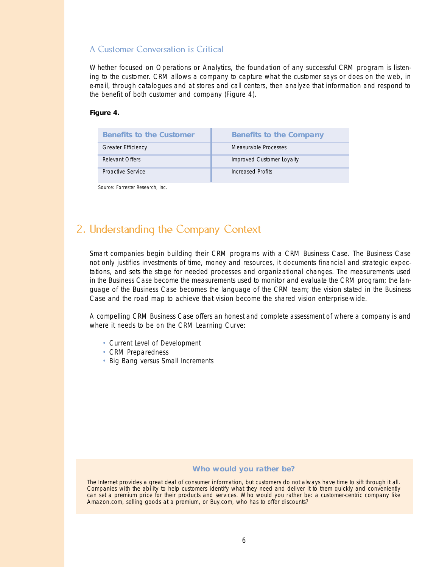#### A Customer Conversation is Critical

Whether focused on Operations or Analytics, the foundation of any successful CRM program is listening to the customer. CRM allows a company to capture what the customer says or does on the web, in e-mail, through catalogues and at stores and call centers, then analyze that information and respond to the benefit of both customer and company (Figure 4).

#### **Figure 4.**

| <b>Benefits to the Customer</b> | <b>Benefits to the Company</b> |
|---------------------------------|--------------------------------|
| Greater Efficiency              | Measurable Processes           |
| Relevant Offers                 | Improved Customer Loyalty      |
| Proactive Service               | Increased Profits              |

Source: Forrester Research, Inc.

## 2. Understanding the Company Context

Smart companies begin building their CRM programs with a CRM Business Case. The Business Case not only justifies investments of time, money and resources, it documents financial and strategic expectations, and sets the stage for needed processes and organizational changes. The measurements used in the Business Case become the measurements used to monitor and evaluate the CRM program; the language of the Business Case becomes the language of the CRM team; the vision stated in the Business Case and the road map to achieve that vision become the shared vision enterprise-wide.

A compelling CRM Business Case offers an honest and complete assessment of where a company is and where it needs to be on the CRM Learning Curve:

- Current Level of Development
- CRM Preparedness
- Big Bang versus Small Increments

#### **Who would you rather be?**

The Internet provides a great deal of consumer information, but customers do not always have time to sift through it all. Companies with the ability to help customers identify what they need and deliver it to them quickly and conveniently can set a premium price for their products and services. Who would you rather be: a customer-centric company like Amazon.com, selling goods at a premium, or Buy.com, who has to offer discounts?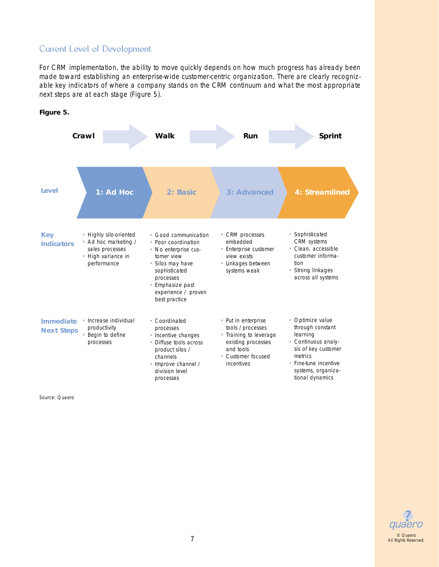## Current Level of Development

For CRM implementation, the ability to move quickly depends on how much progress has already been made toward establishing an enterprise-wide customer-centric organization. There are clearly recognizable key indicators of where a company stands on the CRM continuum and what the most appropriate next steps are at each stage (Figure 5).



**Figure 5.**

Source: Quaero



All Rights Reserved.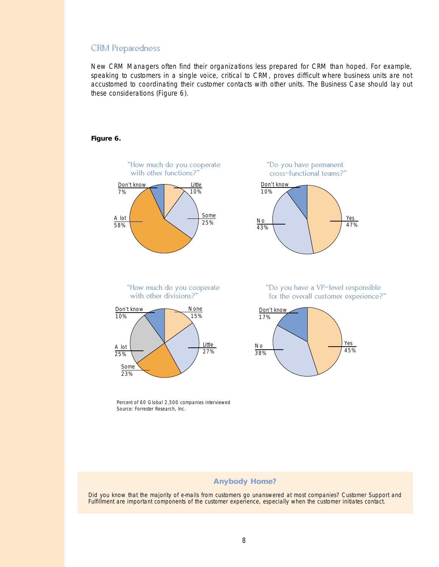#### CRM Preparedness

New CRM Managers often find their organizations less prepared for CRM than hoped. For example, speaking to customers in a single voice, critical to CRM, proves difficult where business units are not accustomed to coordinating their customer contacts with other units. The Business Case should lay out these considerations (Figure 6).

#### **Figure 6.**



"How much do you cooperate with other divisions?"



"Do you have permanent cross-functional teams?" Don't know 10% No 43% Yes 47%

> "Do you have a VP-level responsible for the overall customer experience?"



Percent of 60 Global 2,500 companies interviewed Source: Forrester Research, Inc.

#### **Anybody Home?**

Did you know that the majority of e-mails from customers go unanswered at most companies? Customer Support and Fulfillment are important components of the customer experience, especially when the customer initiates contact.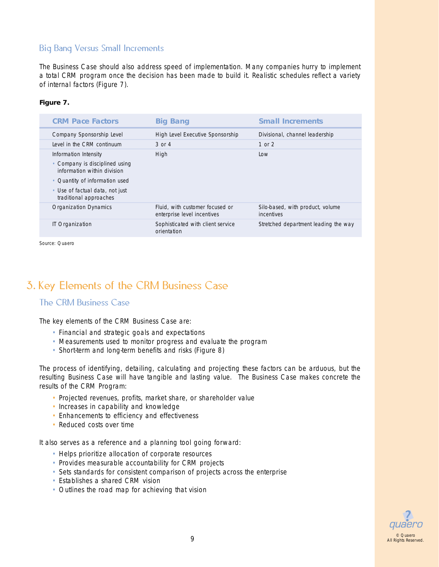## Big Bang Versus Small Increments

The Business Case should also address speed of implementation. Many companies hurry to implement a total CRM program once the decision has been made to build it. Realistic schedules reflect a variety of internal factors (Figure 7).

#### **Figure 7.**

| <b>CRM Pace Factors</b>                                                                                                                                                               | <b>Big Bang</b>                                                | <b>Small Increments</b>                        |
|---------------------------------------------------------------------------------------------------------------------------------------------------------------------------------------|----------------------------------------------------------------|------------------------------------------------|
| Company Sponsorship Level                                                                                                                                                             | High Level Executive Sponsorship                               | Divisional, channel leadership                 |
| Level in the CRM continuum                                                                                                                                                            | $3$ or $4$                                                     | 1 or $2$                                       |
| Information Intensity<br>• Company is disciplined using<br>information within division<br>• Quantity of information used<br>• Use of factual data, not just<br>traditional approaches | High                                                           | Low                                            |
| <b>Organization Dynamics</b>                                                                                                                                                          | Fluid, with customer focused or<br>enterprise level incentives | Silo-based, with product, volume<br>incentives |
| IT Organization                                                                                                                                                                       | Sophisticated with client service<br>orientation               | Stretched department leading the way           |
|                                                                                                                                                                                       |                                                                |                                                |

Source: Quaero

## 3. Key Elements of the CRM Business Case

#### The CRM Business Case

The key elements of the CRM Business Case are:

- Financial and strategic goals and expectations
- Measurements used to monitor progress and evaluate the program
- Short-term and long-term benefits and risks (Figure 8)

The process of identifying, detailing, calculating and projecting these factors can be arduous, but the resulting Business Case will have tangible and lasting value. The Business Case makes concrete the results of the CRM Program:

- Projected revenues, profits, market share, or shareholder value
- Increases in capability and knowledge
- Enhancements to efficiency and effectiveness
- Reduced costs over time

It also serves as a reference and a planning tool going forward:

- Helps prioritize allocation of corporate resources
- Provides measurable accountability for CRM projects
- Sets standards for consistent comparison of projects across the enterprise
- Establishes a shared CRM vision
- Outlines the road map for achieving that vision

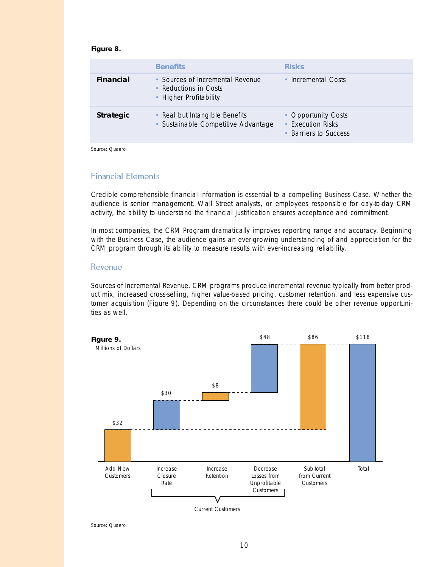#### **Figure 8.**

|                  | <b>Benefits</b>                                                                     | <b>Risks</b>                                                                |
|------------------|-------------------------------------------------------------------------------------|-----------------------------------------------------------------------------|
| <b>Financial</b> | • Sources of Incremental Revenue<br>• Reductions in Costs<br>• Higher Profitability | Incremental Costs                                                           |
| <b>Strategic</b> | • Real but Intangible Benefits<br>• Sustainable Competitive Advantage               | • Opportunity Costs<br><b>Execution Risks</b><br><b>Barriers to Success</b> |

Source: Quaero

#### Financial Elements

Credible comprehensible financial information is essential to a compelling Business Case. Whether the audience is senior management, Wall Street analysts, or employees responsible for day-to-day CRM activity, the ability to understand the financial justification ensures acceptance and commitment.

In most companies, the CRM Program dramatically improves reporting range and accuracy. Beginning with the Business Case, the audience gains an ever-growing understanding of and appreciation for the CRM program through its ability to measure results with ever-increasing reliability.

#### Revenue

*Sources of Incremental Revenue.* CRM programs produce incremental revenue typically from better product mix, increased cross-selling, higher value-based pricing, customer retention, and less expensive customer acquisition (Figure 9). Depending on the circumstances there could be other revenue opportunities as well.

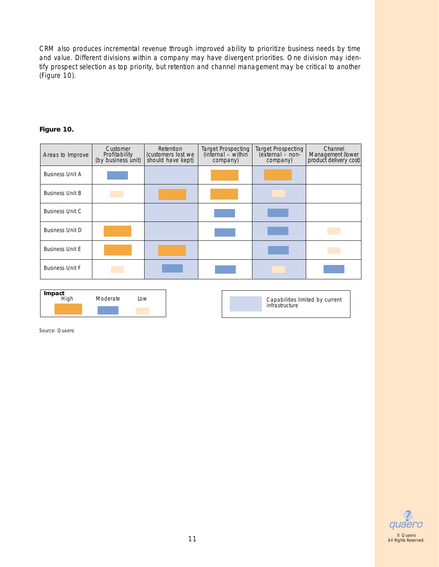CRM also produces incremental revenue through improved ability to prioritize business needs by time and value. Different divisions within a company may have divergent priorities. One division may identify prospect selection as top priority, but retention and channel management may be critical to another (Figure 10).

#### **Figure 10.**

| Areas to Improve       | Customer<br>Profitability<br>(by business unit) | Retention<br>(customers lost we<br>should have kept) | Target Prospecting<br>(internal – within<br>company) | <b>Target Prospecting</b><br>(external - non-<br>company) | Channel<br>Management (lower<br>product delivery cost) |
|------------------------|-------------------------------------------------|------------------------------------------------------|------------------------------------------------------|-----------------------------------------------------------|--------------------------------------------------------|
| <b>Business Unit A</b> |                                                 |                                                      |                                                      |                                                           |                                                        |
| <b>Business Unit B</b> |                                                 |                                                      |                                                      |                                                           |                                                        |
| <b>Business Unit C</b> |                                                 |                                                      |                                                      |                                                           |                                                        |
| <b>Business Unit D</b> |                                                 |                                                      |                                                      |                                                           |                                                        |
| <b>Business Unit E</b> |                                                 |                                                      |                                                      |                                                           |                                                        |
| <b>Business Unit F</b> |                                                 |                                                      |                                                      |                                                           |                                                        |
| $\blacksquare$         |                                                 |                                                      |                                                      |                                                           |                                                        |

| <b>Impact</b><br>High | Moderate | Low |
|-----------------------|----------|-----|
|                       |          |     |

Capabilities limited by current infrastructure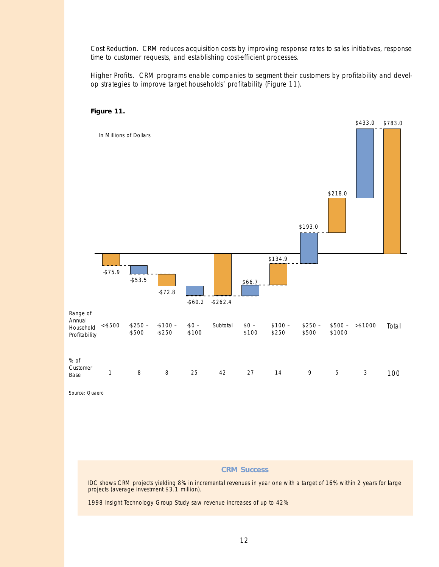*Cost Reduction.* CRM reduces acquisition costs by improving response rates to sales initiatives, response time to customer requests, and establishing cost-efficient processes.

*Higher Profits.* CRM programs enable companies to segment their customers by profitability and develop strategies to improve target households' profitability (Figure 11).

#### **Figure 11.**



Source: Quaero

#### **CRM Success**

IDC shows CRM projects yielding 8% in incremental revenues in year one with a target of 16% within 2 years for large projects (average investment \$3.1 million).

1998 Insight Technology Group Study saw revenue increases of up to 42%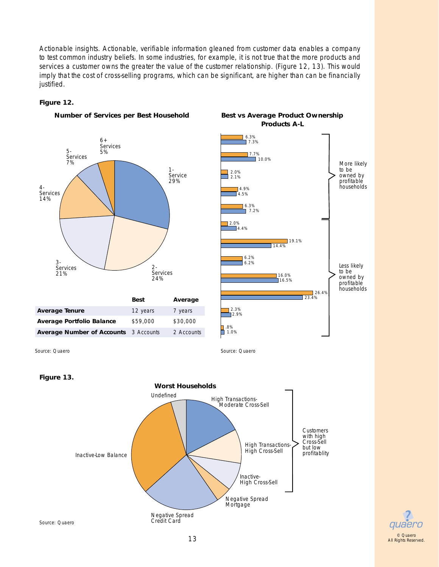*Actionable insights.* Actionable, verifiable information gleaned from customer data enables a company to test common industry beliefs. In some industries, for example, it is not true that the more products and services a customer owns the greater the value of the customer relationship. (Figure 12, 13). This would imply that the cost of cross-selling programs, which can be significant, are higher than can be financially justified.

#### **Figure 12.**





More likely to be owned by profitable households

Less likely to be owned by profitable households



Source: Quaero

Inactive-Low Balance

Negative Spread Credit Card

Inactive-High Cross-Sell profitablity

Negative Spread Mortgage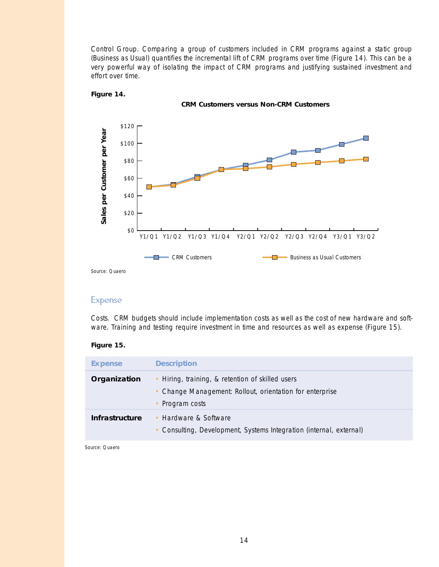*Control Group.* Comparing a group of customers included in CRM programs against a static group (Business as Usual) quantifies the incremental lift of CRM programs over time (Figure 14). This can be a very powerful way of isolating the impact of CRM programs and justifying sustained investment and effort over time.

**CRM Customers versus Non-CRM Customers**



#### **Figure 14.**

Source: Quaero

#### Expense

*Costs.* CRM budgets should include implementation costs as well as the cost of new hardware and software. Training and testing require investment in time and resources as well as expense (Figure 15).

#### **Figure 15.**

| <b>Expense</b> | <b>Description</b>                                                                                                            |
|----------------|-------------------------------------------------------------------------------------------------------------------------------|
| Organization   | • Hiring, training, & retention of skilled users<br>• Change Management: Rollout, orientation for enterprise<br>Program costs |
| Infrastructure | • Hardware & Software<br>• Consulting, Development, Systems Integration (internal, external)                                  |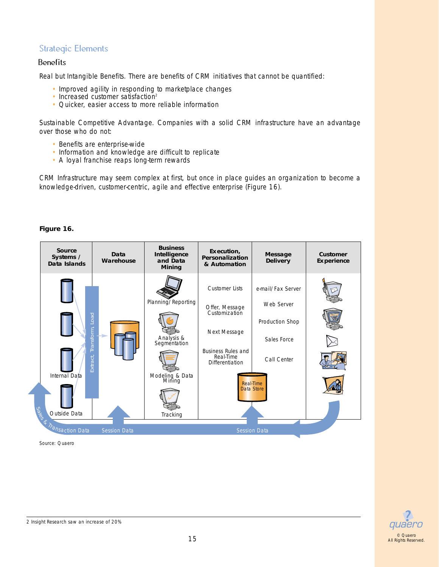## Strategic Elements

#### **Benefits**

*Real but Intangible Benefits.* There are benefits of CRM initiatives that cannot be quantified:

- Improved agility in responding to marketplace changes
- Increased customer satisfaction<sup>2</sup>
- Quicker, easier access to more reliable information

*Sustainable Competitive Advantage.* Companies with a solid CRM infrastructure have an advantage over those who do not:

- Benefits are enterprise-wide
- Information and knowledge are difficult to replicate
- A loyal franchise reaps long-term rewards

CRM Infrastructure may seem complex at first, but once in place guides an organization to become a knowledge-driven, customer-centric, agile and effective enterprise (Figure 16).



#### **Figure 16.**



2 Insight Research saw an increase of 20%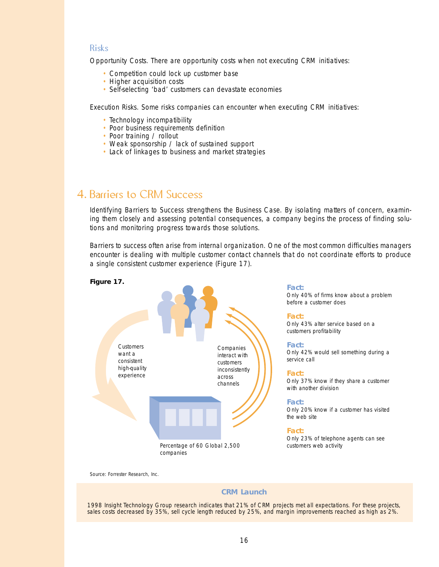#### Risks

*Opportunity Costs.* There are opportunity costs when not executing CRM initiatives:

- Competition could lock up customer base
- Higher acquisition costs
- Self-selecting 'bad' customers can devastate economies

*Execution Risks.* Some risks companies can encounter when executing CRM initiatives:

- Technology incompatibility
- Poor business requirements definition
- Poor training / rollout
- Weak sponsorship / lack of sustained support
- Lack of linkages to business and market strategies

## 4. Barriers to CRM Success

*Identifying Barriers to Success* strengthens the Business Case. By isolating matters of concern, examining them closely and assessing potential consequences, a company begins the process of finding solutions and monitoring progress towards those solutions.

Barriers to success often arise from internal organization. One of the most common difficulties managers encounter is dealing with multiple customer contact channels that do not coordinate efforts to produce a single consistent customer experience (Figure 17).



Source: Forrester Research, Inc.

#### **CRM Launch**

1998 Insight Technology Group research indicates that 21% of CRM projects met all expectations. For these projects, sales costs decreased by 35%, sell cycle length reduced by 25%, and margin improvements reached as high as 2%.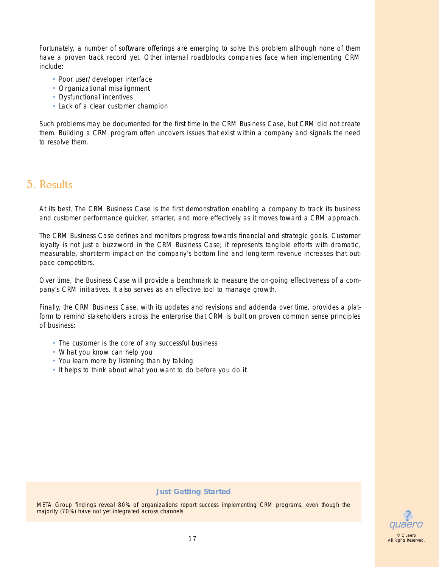Fortunately, a number of software offerings are emerging to solve this problem although none of them have a proven track record yet. Other internal roadblocks companies face when implementing CRM include:

- Poor user/developer interface
- Organizational misalignment
- Dysfunctional incentives
- Lack of a clear customer champion

Such problems may be documented for the first time in the CRM Business Case, but CRM did not create them. Building a CRM program often uncovers issues that exist within a company and signals the need to resolve them.

## 5. Results

At its best, The CRM Business Case is the first demonstration enabling a company to track its business and customer performance quicker, smarter, and more effectively as it moves toward a CRM approach.

The CRM Business Case defines and monitors progress towards financial and strategic goals. Customer loyalty is not just a buzzword in the CRM Business Case; it represents tangible efforts with dramatic, measurable, short-term impact on the company's bottom line and long-term revenue increases that outpace competitors.

Over time, the Business Case will provide a benchmark to measure the on-going effectiveness of a company's CRM initiatives. It also serves as an effective tool to manage growth.

Finally, the CRM Business Case, with its updates and revisions and addenda over time, provides a platform to remind stakeholders across the enterprise that CRM is built on proven common sense principles of business:

- The customer is the core of any successful business
- What you know can help you
- You learn more by listening than by talking
- It helps to think about what you want to do before you do it

#### **Just Getting Started**

META Group findings reveal 80% of organizations report success implementing CRM programs, even though the majority (70%) have not yet integrated across channels.

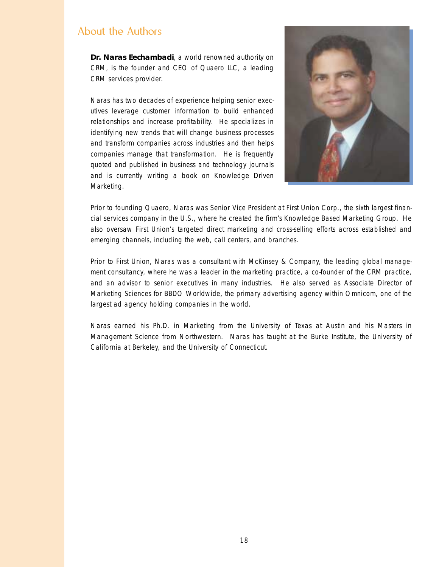## About the Authors

**Dr. Naras Eechambadi**, a world renowned authority on CRM, is the founder and CEO of Quaero LLC, a leading CRM services provider.

Naras has two decades of experience helping senior executives leverage customer information to build enhanced relationships and increase profitability. He specializes in identifying new trends that will change business processes and transform companies across industries and then helps companies manage that transformation. He is frequently quoted and published in business and technology journals and is currently writing a book on Knowledge Driven Marketing.



Prior to founding Quaero, Naras was Senior Vice President at First Union Corp., the sixth largest financial services company in the U.S., where he created the firm's Knowledge Based Marketing Group. He also oversaw First Union's targeted direct marketing and cross-selling efforts across established and emerging channels, including the web, call centers, and branches.

Prior to First Union, Naras was a consultant with McKinsey & Company, the leading global management consultancy, where he was a leader in the marketing practice, a co-founder of the CRM practice, and an advisor to senior executives in many industries. He also served as Associate Director of Marketing Sciences for BBDO Worldwide, the primary advertising agency within Omnicom, one of the largest ad agency holding companies in the world.

Naras earned his Ph.D. in Marketing from the University of Texas at Austin and his Masters in Management Science from Northwestern. Naras has taught at the Burke Institute, the University of California at Berkeley, and the University of Connecticut.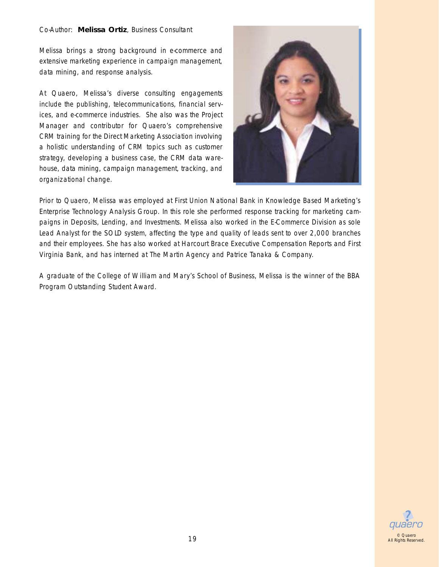#### Co-Author: **Melissa Ortiz**, Business Consultant

Melissa brings a strong background in e-commerce and extensive marketing experience in campaign management, data mining, and response analysis.

At Quaero, Melissa's diverse consulting engagements include the publishing, telecommunications, financial services, and e-commerce industries. She also was the Project Manager and contributor for Quaero's comprehensive CRM training for the Direct Marketing Association involving a holistic understanding of CRM topics such as customer strategy, developing a business case, the CRM data warehouse, data mining, campaign management, tracking, and organizational change.



Prior to Quaero, Melissa was employed at First Union National Bank in Knowledge Based Marketing's Enterprise Technology Analysis Group. In this role she performed response tracking for marketing campaigns in Deposits, Lending, and Investments. Melissa also worked in the E-Commerce Division as sole Lead Analyst for the SOLD system, affecting the type and quality of leads sent to over 2,000 branches and their employees. She has also worked at Harcourt Brace Executive Compensation Reports and First Virginia Bank, and has interned at The Martin Agency and Patrice Tanaka & Company.

A graduate of the College of William and Mary's School of Business, Melissa is the winner of the BBA Program Outstanding Student Award.